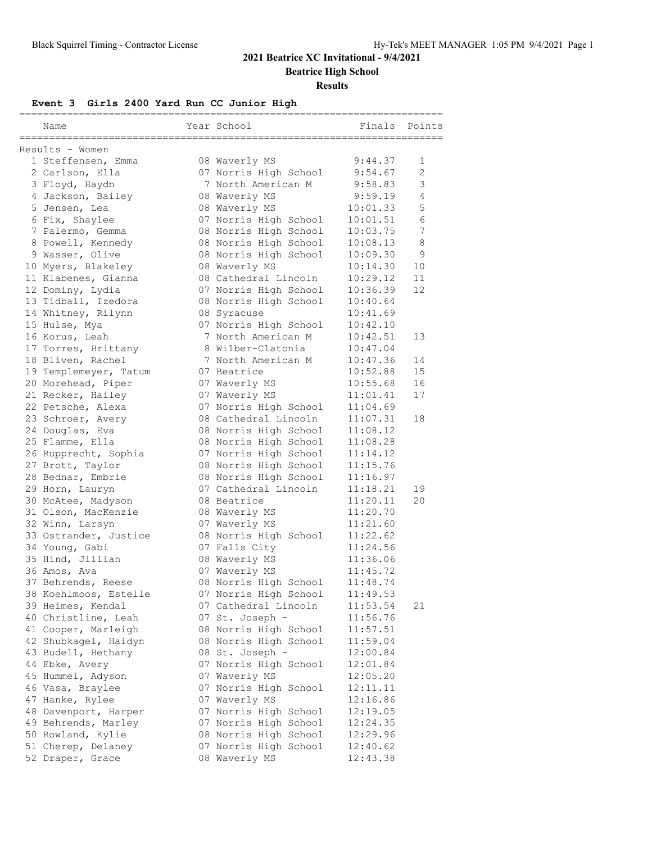**Beatrice High School**

#### **Results**

### **Event 3 Girls 2400 Yard Run CC Junior High**

| Name                  | Year School           | Finals   | Points         |
|-----------------------|-----------------------|----------|----------------|
| Results - Women       |                       |          |                |
| 1 Steffensen, Emma    | 08 Waverly MS         | 9:44.37  | 1              |
| 2 Carlson, Ella       | 07 Norris High School | 9:54.67  | $\overline{2}$ |
| 3 Floyd, Haydn        | 7 North American M    | 9:58.83  | 3              |
| 4 Jackson, Bailey     | 08 Waverly MS         | 9:59.19  | 4              |
| 5 Jensen, Lea         | 08 Waverly MS         | 10:01.33 | 5              |
| 6 Fix, Shaylee        | 07 Norris High School | 10:01.51 | 6              |
| 7 Palermo, Gemma      | 08 Norris High School | 10:03.75 | $\sqrt{ }$     |
| 8 Powell, Kennedy     | 08 Norris High School | 10:08.13 | 8              |
| 9 Wasser, Olive       | 08 Norris High School | 10:09.30 | 9              |
| 10 Myers, Blakeley    | 08 Waverly MS         | 10:14.30 | 10             |
| 11 Klabenes, Gianna   | 08 Cathedral Lincoln  | 10:29.12 | 11             |
| 12 Dominy, Lydia      | 07 Norris High School | 10:36.39 | 12             |
| 13 Tidball, Izedora   | 08 Norris High School | 10:40.64 |                |
| 14 Whitney, Rilynn    | 08 Syracuse           | 10:41.69 |                |
| 15 Hulse, Mya         | 07 Norris High School | 10:42.10 |                |
| 16 Korus, Leah        | 7 North American M    | 10:42.51 | 13             |
| 17 Torres, Brittany   | 8 Wilber-Clatonia     | 10:47.04 |                |
| 18 Bliven, Rachel     | 7 North American M    | 10:47.36 | 14             |
| 19 Templemeyer, Tatum | 07 Beatrice           | 10:52.88 | 15             |
| 20 Morehead, Piper    | 07 Waverly MS         | 10:55.68 | 16             |
| 21 Recker, Hailey     | 07 Waverly MS         | 11:01.41 | 17             |
| 22 Petsche, Alexa     | 07 Norris High School | 11:04.69 |                |
| 23 Schroer, Avery     | 08 Cathedral Lincoln  | 11:07.31 | 18             |
| 24 Douglas, Eva       | 08 Norris High School | 11:08.12 |                |
| 25 Flamme, Ella       | 08 Norris High School | 11:08.28 |                |
| 26 Rupprecht, Sophia  | 07 Norris High School | 11:14.12 |                |
| 27 Brott, Taylor      | 08 Norris High School | 11:15.76 |                |
| 28 Bednar, Embrie     | 08 Norris High School | 11:16.97 |                |
| 29 Horn, Lauryn       | 07 Cathedral Lincoln  | 11:18.21 | 19             |
| 30 McAtee, Madyson    | 08 Beatrice           | 11:20.11 | 20             |
| 31 Olson, MacKenzie   | 08 Waverly MS         | 11:20.70 |                |
| 32 Winn, Larsyn       | 07 Waverly MS         | 11:21.60 |                |
| 33 Ostrander, Justice | 08 Norris High School | 11:22.62 |                |
| 34 Young, Gabi        | 07 Falls City         | 11:24.56 |                |
| 35 Hind, Jillian      | 08 Waverly MS         | 11:36.06 |                |
| 36 Amos, Ava          | 07 Waverly MS         | 11:45.72 |                |
| 37 Behrends, Reese    | 08 Norris High School | 11:48.74 |                |
| 38 Koehlmoos, Estelle | 07 Norris High School | 11:49.53 |                |
| 39 Heimes, Kendal     | 07 Cathedral Lincoln  | 11:53.54 | 21             |
| 40 Christline, Leah   | 07 St. Joseph -       | 11:56.76 |                |
| 41 Cooper, Marleigh   | 08 Norris High School | 11:57.51 |                |
| 42 Shubkagel, Haidyn  | 08 Norris High School | 11:59.04 |                |
| 43 Budell, Bethany    | 08 St. Joseph -       | 12:00.84 |                |
| 44 Ebke, Avery        | 07 Norris High School | 12:01.84 |                |
| 45 Hummel, Adyson     | 07 Waverly MS         | 12:05.20 |                |
| 46 Vasa, Braylee      | 07 Norris High School | 12:11.11 |                |
| 47 Hanke, Rylee       | 07 Waverly MS         | 12:16.86 |                |
| 48 Davenport, Harper  | 07 Norris High School | 12:19.05 |                |
| 49 Behrends, Marley   | 07 Norris High School | 12:24.35 |                |
| 50 Rowland, Kylie     | 08 Norris High School | 12:29.96 |                |
| 51 Cherep, Delaney    | 07 Norris High School | 12:40.62 |                |
| 52 Draper, Grace      | 08 Waverly MS         | 12:43.38 |                |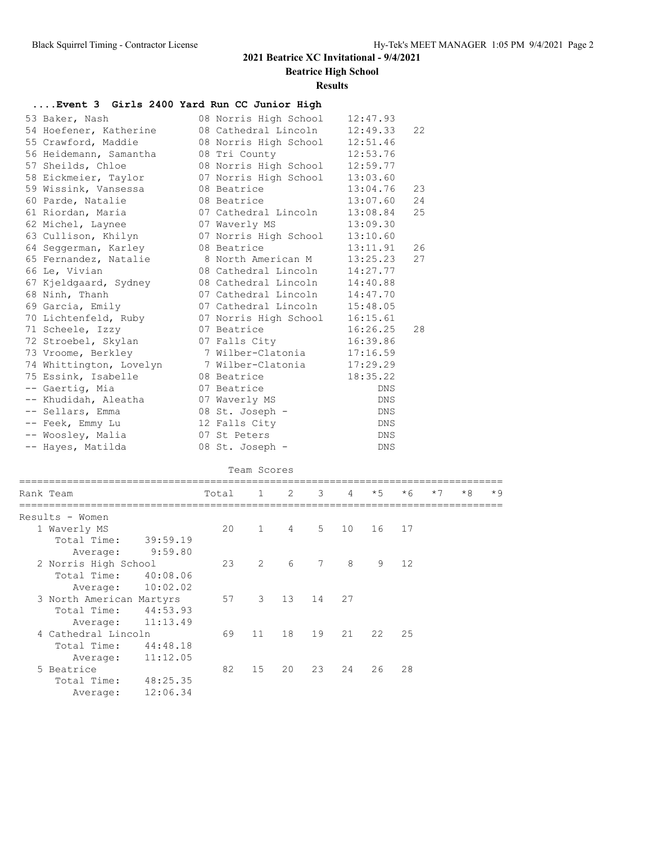**Beatrice High School**

#### **Results**

### **....Event 3 Girls 2400 Yard Run CC Junior High**

| 53 Baker, Nash                                     | 08 Norris High School          | 12:47.93   |    |
|----------------------------------------------------|--------------------------------|------------|----|
| 54 Hoefener, Katherine                             | 08 Cathedral Lincoln           | 12:49.33   | 22 |
| 55 Crawford, Maddie                                | 08 Norris High School          | 12:51.46   |    |
| 56 Heidemann, Samantha                             | 08 Tri County                  | 12:53.76   |    |
| 57 Sheilds, Chloe                                  | 08 Norris High School          | 12:59.77   |    |
| 58 Eickmeier, Taylor                               | 07 Norris High School          | 13:03.60   |    |
| 59 Wissink, Vansessa                               | 08 Beatrice                    | 13:04.76   | 23 |
| 60 Parde, Natalie                                  | 08 Beatrice                    | 13:07.60   | 24 |
| 61 Riordan, Maria                                  | 07 Cathedral Lincoln           | 13:08.84   | 25 |
| 62 Michel, Laynee                                  | 07 Waverly MS                  | 13:09.30   |    |
| 63 Cullison, Khilyn                                | 07 Norris High School          | 13:10.60   |    |
| 64 Seggerman, Karley                               | 08 Beatrice                    | 13:11.91   | 26 |
| 65 Fernandez, Natalie                              | 8 North American M             | 13:25.23   | 27 |
| 66 Le, Vivian                                      | 08 Cathedral Lincoln 14:27.77  |            |    |
| 67 Kjeldgaard, Sydney                              | 08 Cathedral Lincoln 14:40.88  |            |    |
| 68 Ninh, Thanh                                     | 07 Cathedral Lincoln 14:47.70  |            |    |
| 69 Garcia, Emily                                   | 07 Cathedral Lincoln 15:48.05  |            |    |
| 70 Lichtenfeld, Ruby                               | 07 Norris High School 16:15.61 |            |    |
| 71 Scheele, Izzy                                   | 07 Beatrice                    | 16:26.25   | 28 |
| 72 Stroebel, Skylan                                | 07 Falls City                  | 16:39.86   |    |
| 73 Vroome, Berkley                                 | 7 Wilber-Clatonia 17:16.59     |            |    |
| 74 Whittington, Lovelyn 7 Wilber-Clatonia 17:29.29 |                                |            |    |
| 75 Essink, Isabelle                                | 08 Beatrice                    | 18:35.22   |    |
| -- Gaertig, Mia                                    | 07 Beatrice                    | <b>DNS</b> |    |
| -- Khudidah, Aleatha                               | 07 Waverly MS                  | DNS        |    |
| -- Sellars, Emma                                   | 08 St. Joseph -                | DNS        |    |
| -- Feek, Emmy Lu                                   | 12 Falls City                  | DNS        |    |
| -- Woosley, Malia                                  | 07 St Peters                   | DNS        |    |
| -- Hayes, Matilda                                  | 08 St. Joseph -                | <b>DNS</b> |    |

|                 | Team Scores              |                   |       |                |                |                |                 |      |      |      |      |      |  |
|-----------------|--------------------------|-------------------|-------|----------------|----------------|----------------|-----------------|------|------|------|------|------|--|
| Rank Team       |                          |                   | Total | $\mathbf{1}$   | 2              | 3 <sup>7</sup> | $\overline{4}$  | $*5$ | $*6$ | $*7$ | $*8$ | $*9$ |  |
| Results - Women |                          |                   |       |                |                |                |                 |      |      |      |      |      |  |
| 1 Waverly MS    |                          |                   | 20    | $\mathbf{1}$   | $\overline{4}$ | $5 -$          | 10 <sup>°</sup> | 16   | 17   |      |      |      |  |
|                 | Total Time:              | 39:59.19          |       |                |                |                |                 |      |      |      |      |      |  |
|                 | Average:                 | 9:59.80           |       |                |                |                |                 |      |      |      |      |      |  |
|                 | 2 Norris High School     |                   | 23    | $\overline{2}$ | 6              | $\overline{7}$ | 8               | 9    | 12   |      |      |      |  |
|                 | Total Time:              | 40:08.06          |       |                |                |                |                 |      |      |      |      |      |  |
|                 | Average:                 | 10:02.02          |       |                |                |                |                 |      |      |      |      |      |  |
|                 | 3 North American Martyrs |                   | 57    | 3              | 13             | 14             | 27              |      |      |      |      |      |  |
|                 | Total Time:              | 44:53.93          |       |                |                |                |                 |      |      |      |      |      |  |
|                 |                          | Average: 11:13.49 |       |                |                |                |                 |      |      |      |      |      |  |
|                 | 4 Cathedral Lincoln      |                   | 69    | 11             | 18             | 19             | 21              | 22   | 2.5  |      |      |      |  |
|                 | Total Time:              | 44:48.18          |       |                |                |                |                 |      |      |      |      |      |  |
|                 | Average:                 | 11:12.05          |       |                |                |                |                 |      |      |      |      |      |  |
| 5 Beatrice      |                          |                   | 82    | 15             | 20             | 23             | 24              | 26   | 28   |      |      |      |  |
|                 | Total Time:              | 48:25.35          |       |                |                |                |                 |      |      |      |      |      |  |
|                 | Average:                 | 12:06.34          |       |                |                |                |                 |      |      |      |      |      |  |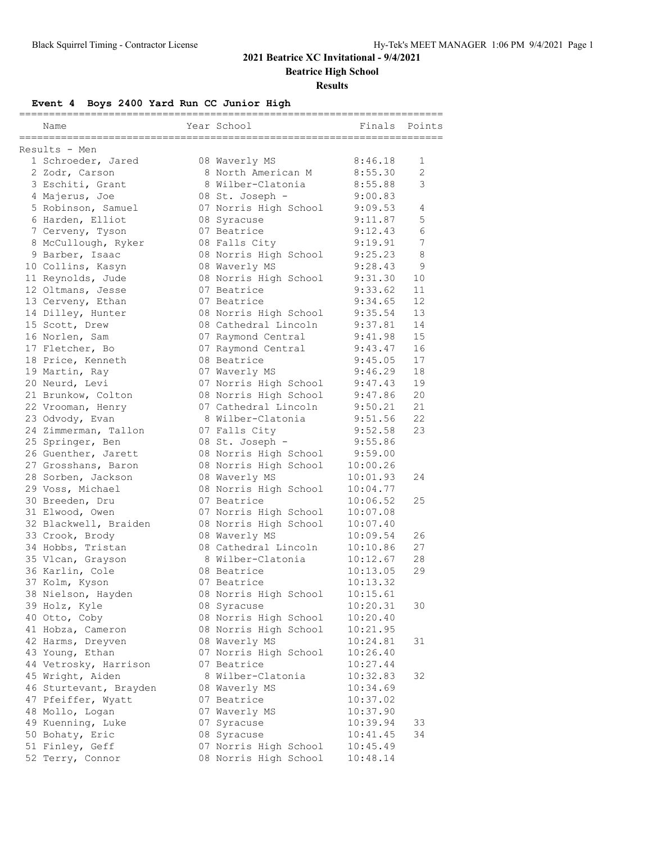**Beatrice High School**

#### **Results**

# **Event 4 Boys 2400 Yard Run CC Junior High**

| Name                   | Year School           | =======<br>Finals | Points |
|------------------------|-----------------------|-------------------|--------|
| Results - Men          |                       |                   |        |
| 1 Schroeder, Jared     | 08 Waverly MS         | 8:46.18           | 1      |
| 2 Zodr, Carson         | 8 North American M    | 8:55.30           | 2      |
| 3 Eschiti, Grant       | 8 Wilber-Clatonia     | 8:55.88           | 3      |
| 4 Majerus, Joe         | 08 St. Joseph -       | 9:00.83           |        |
| 5 Robinson, Samuel     | 07 Norris High School | 9:09.53           | 4      |
| 6 Harden, Elliot       | 08 Syracuse           | 9:11.87           | 5      |
| 7 Cerveny, Tyson       | 07 Beatrice           | 9:12.43           | 6      |
| 8 McCullough, Ryker    | 08 Falls City         | 9:19.91           | 7      |
| 9 Barber, Isaac        | 08 Norris High School | 9:25.23           | 8      |
| 10 Collins, Kasyn      | 08 Waverly MS         | 9:28.43           | 9      |
| 11 Reynolds, Jude      | 08 Norris High School | 9:31.30           | 10     |
| 12 Oltmans, Jesse      | 07 Beatrice           | 9:33.62           | 11     |
| 13 Cerveny, Ethan      | 07 Beatrice           | 9:34.65           | 12     |
| 14 Dilley, Hunter      | 08 Norris High School | 9:35.54           | 13     |
| 15 Scott, Drew         | 08 Cathedral Lincoln  | 9:37.81           | 14     |
| 16 Norlen, Sam         | 07 Raymond Central    | 9:41.98           | 15     |
| 17 Fletcher, Bo        | 07 Raymond Central    | 9:43.47           | 16     |
| 18 Price, Kenneth      | 08 Beatrice           | 9:45.05           | 17     |
| 19 Martin, Ray         | 07 Waverly MS         | 9:46.29           | 18     |
| 20 Neurd, Levi         | 07 Norris High School | 9:47.43           | 19     |
| 21 Brunkow, Colton     | 08 Norris High School | 9:47.86           | 20     |
| 22 Vrooman, Henry      | 07 Cathedral Lincoln  | 9:50.21           | 21     |
| 23 Odvody, Evan        | 8 Wilber-Clatonia     | 9:51.56           | 22     |
|                        |                       | 9:52.58           | 23     |
| 24 Zimmerman, Tallon   | 07 Falls City         |                   |        |
| 25 Springer, Ben       | 08 St. Joseph -       | 9:55.86           |        |
| 26 Guenther, Jarett    | 08 Norris High School | 9:59.00           |        |
| 27 Grosshans, Baron    | 08 Norris High School | 10:00.26          |        |
| 28 Sorben, Jackson     | 08 Waverly MS         | 10:01.93          | 24     |
| 29 Voss, Michael       | 08 Norris High School | 10:04.77          |        |
| 30 Breeden, Dru        | 07 Beatrice           | 10:06.52          | 25     |
| 31 Elwood, Owen        | 07 Norris High School | 10:07.08          |        |
| 32 Blackwell, Braiden  | 08 Norris High School | 10:07.40          |        |
| 33 Crook, Brody        | 08 Waverly MS         | 10:09.54          | 26     |
| 34 Hobbs, Tristan      | 08 Cathedral Lincoln  | 10:10.86          | 27     |
| 35 Vlcan, Grayson      | 8 Wilber-Clatonia     | 10:12.67          | 28     |
| 36 Karlin, Cole        | 08 Beatrice           | 10:13.05          | 29     |
| 37 Kolm, Kyson         | 07 Beatrice           | 10:13.32          |        |
| 38 Nielson, Hayden     | 08 Norris High School | 10:15.61          |        |
| 39 Holz, Kyle          | 08 Syracuse           | 10:20.31          | 30     |
| 40 Otto, Coby          | 08 Norris High School | 10:20.40          |        |
| 41 Hobza, Cameron      | 08 Norris High School | 10:21.95          |        |
| 42 Harms, Dreyven      | 08 Waverly MS         | 10:24.81          | 31     |
| 43 Young, Ethan        | 07 Norris High School | 10:26.40          |        |
| 44 Vetrosky, Harrison  | 07 Beatrice           | 10:27.44          |        |
| 45 Wright, Aiden       | 8 Wilber-Clatonia     | 10:32.83          | 32     |
| 46 Sturtevant, Brayden | 08 Waverly MS         | 10:34.69          |        |
| 47 Pfeiffer, Wyatt     | 07 Beatrice           | 10:37.02          |        |
| 48 Mollo, Logan        | 07 Waverly MS         | 10:37.90          |        |
| 49 Kuenning, Luke      | 07 Syracuse           | 10:39.94          | 33     |
| 50 Bohaty, Eric        | 08 Syracuse           | 10:41.45          | 34     |
| 51 Finley, Geff        | 07 Norris High School | 10:45.49          |        |
| 52 Terry, Connor       | 08 Norris High School | 10:48.14          |        |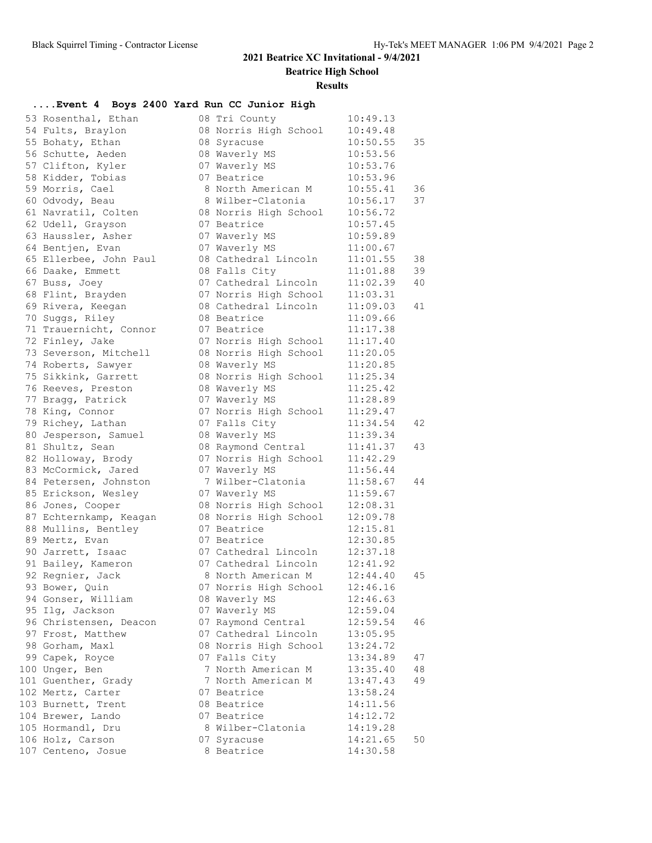**Beatrice High School**

#### **Results**

### **....Event 4 Boys 2400 Yard Run CC Junior High**

| 53 Rosenthal, Ethan                 | 08 Tri County                                | 10:49.13             |    |
|-------------------------------------|----------------------------------------------|----------------------|----|
| 54 Fults, Braylon                   | 08 Norris High School                        | 10:49.48             |    |
| 55 Bohaty, Ethan                    | 08 Syracuse                                  | 10:50.55             | 35 |
| 56 Schutte, Aeden                   | 08 Waverly MS                                | 10:53.56             |    |
| 57 Clifton, Kyler                   | 07 Waverly MS                                | 10:53.76             |    |
| 58 Kidder, Tobias                   | 07 Beatrice                                  | 10:53.96             |    |
| 59 Morris, Cael                     | 8 North American M                           | 10:55.41             | 36 |
| 60 Odvody, Beau                     | 8 Wilber-Clatonia                            | 10:56.17             | 37 |
| 61 Navratil, Colten                 | 08 Norris High School                        | 10:56.72             |    |
| 62 Udell, Grayson                   | 07 Beatrice                                  | 10:57.45             |    |
| 63 Haussler, Asher                  | 07 Waverly MS                                | 10:59.89             |    |
| 64 Bentjen, Evan                    | 07 Waverly MS                                | 11:00.67             |    |
| 65 Ellerbee, John Paul              | 08 Cathedral Lincoln                         | 11:01.55             | 38 |
| 66 Daake, Emmett                    | 08 Falls City                                | 11:01.88             | 39 |
| 67 Buss, Joey                       | 07 Cathedral Lincoln                         | 11:02.39             | 40 |
| 68 Flint, Brayden                   | 07 Norris High School                        | 11:03.31             |    |
| 69 Rivera, Keegan                   | 08 Cathedral Lincoln                         | 11:09.03             | 41 |
| 70 Suggs, Riley                     | 08 Beatrice                                  | 11:09.66             |    |
| 71 Trauernicht, Connor              | 07 Beatrice                                  | 11:17.38             |    |
| 72 Finley, Jake                     | 07 Norris High School                        | 11:17.40             |    |
| 73 Severson, Mitchell               | 08 Norris High School                        | 11:20.05             |    |
| 74 Roberts, Sawyer                  | 08 Waverly MS                                | 11:20.85             |    |
| 75 Sikkink, Garrett                 | 08 Norris High School                        | 11:25.34             |    |
| 76 Reeves, Preston                  | 08 Waverly MS                                | 11:25.42             |    |
| 77 Bragg, Patrick                   | 07 Waverly MS                                | 11:28.89             |    |
| 78 King, Connor                     | 07 Norris High School                        | 11:29.47             |    |
| 79 Richey, Lathan                   | 07 Falls City                                | 11:34.54             | 42 |
| 80 Jesperson, Samuel                | 08 Waverly MS                                | 11:39.34             |    |
| 81 Shultz, Sean                     | 08 Raymond Central                           | 11:41.37             | 43 |
| 82 Holloway, Brody                  | 07 Norris High School                        | 11:42.29             |    |
| 83 McCormick, Jared                 | 07 Waverly MS                                | 11:56.44             |    |
| 84 Petersen, Johnston               | 7 Wilber-Clatonia                            | 11:58.67             | 44 |
| 85 Erickson, Wesley                 | 07 Waverly MS                                | 11:59.67             |    |
| 86 Jones, Cooper                    | 08 Norris High School                        | 12:08.31             |    |
| 87 Echternkamp, Keagan              | 08 Norris High School                        | 12:09.78             |    |
| 88 Mullins, Bentley                 | 07 Beatrice<br>07 Beatrice                   | 12:15.81<br>12:30.85 |    |
| 89 Mertz, Evan<br>90 Jarrett, Isaac |                                              |                      |    |
| 91 Bailey, Kameron                  | 07 Cathedral Lincoln<br>07 Cathedral Lincoln | 12:37.18<br>12:41.92 |    |
| 92 Regnier, Jack                    | 8 North American M                           | 12:44.40             | 45 |
| 93 Bower, Quin                      | 07 Norris High School                        | 12:46.16             |    |
| 94 Gonser, William                  | 08 Waverly MS                                | 12:46.63             |    |
| 95 Ilg, Jackson                     | 07 Waverly MS                                | 12:59.04             |    |
| 96 Christensen, Deacon              | 07 Raymond Central                           | 12:59.54             | 46 |
| 97 Frost, Matthew                   | 07 Cathedral Lincoln                         | 13:05.95             |    |
| 98 Gorham, Maxl                     | 08 Norris High School                        | 13:24.72             |    |
| 99 Capek, Royce                     | 07 Falls City                                | 13:34.89             | 47 |
| 100 Unger, Ben                      | 7 North American M                           | 13:35.40             | 48 |
| 101 Guenther, Grady                 | 7 North American M                           | 13:47.43             | 49 |
| 102 Mertz, Carter                   | 07 Beatrice                                  | 13:58.24             |    |
| 103 Burnett, Trent                  | 08 Beatrice                                  | 14:11.56             |    |
| 104 Brewer, Lando                   | 07 Beatrice                                  | 14:12.72             |    |
| 105 Hormandl, Dru                   | 8 Wilber-Clatonia                            | 14:19.28             |    |
| 106 Holz, Carson                    | 07 Syracuse                                  | 14:21.65             | 50 |
| 107 Centeno, Josue                  | 8 Beatrice                                   | 14:30.58             |    |
|                                     |                                              |                      |    |

| ri County          | 10:49.13 |    |
|--------------------|----------|----|
| orris High School  | 10:49.48 |    |
| yracuse            | 10:50.55 | 35 |
| averly MS          | 10:53.56 |    |
| averly MS          | 10:53.76 |    |
| eatrice            | 10:53.96 |    |
| orth American M    | 10:55.41 | 36 |
| ilber-Clatonia     | 10:56.17 | 37 |
| orris High School  | 10:56.72 |    |
| eatrice            | 10:57.45 |    |
| averly MS          | 10:59.89 |    |
| averly MS          | 11:00.67 |    |
| athedral Lincoln   | 11:01.55 | 38 |
| alls City          | 11:01.88 | 39 |
| athedral Lincoln   | 11:02.39 | 40 |
|                    |          |    |
| orris High School  | 11:03.31 |    |
| athedral Lincoln   | 11:09.03 | 41 |
| eatrice            | 11:09.66 |    |
| eatrice            | 11:17.38 |    |
| orris High School  | 11:17.40 |    |
| orris High School  | 11:20.05 |    |
| averly MS          | 11:20.85 |    |
| orris High School  | 11:25.34 |    |
| averly MS          | 11:25.42 |    |
| averly MS          | 11:28.89 |    |
| orris High School  | 11:29.47 |    |
| alls City          | 11:34.54 | 42 |
| averly MS          | 11:39.34 |    |
| aymond Central     | 11:41.37 | 43 |
| orris High School  | 11:42.29 |    |
| averly MS          | 11:56.44 |    |
| ilber-Clatonia     | 11:58.67 | 44 |
| averly MS          | 11:59.67 |    |
| orris High School  | 12:08.31 |    |
| orris High School  | 12:09.78 |    |
| eatrice            | 12:15.81 |    |
| eatrice            | 12:30.85 |    |
| athedral Lincoln   | 12:37.18 |    |
| athedral Lincoln   | 12:41.92 |    |
| orth American M    | 12:44.40 | 45 |
| orris High School  | 12:46.16 |    |
| 'averly MS         | 12:46.63 |    |
| averly MS          | 12:59.04 |    |
| aymond Central     | 12:59.54 | 46 |
| athedral Lincoln   | 13:05.95 |    |
| orris High School  | 13:24.72 |    |
| alls City          | 13:34.89 | 47 |
| orth American<br>Μ | 13:35.40 | 48 |
| orth American M    | 13:47.43 | 49 |
| eatrice            | 13:58.24 |    |
| eatrice            | 14:11.56 |    |
| eatrice            | 14:12.72 |    |
|                    | 14:19.28 |    |
| ilber-Clatonia     |          |    |
| yracuse            | 14:21.65 | 50 |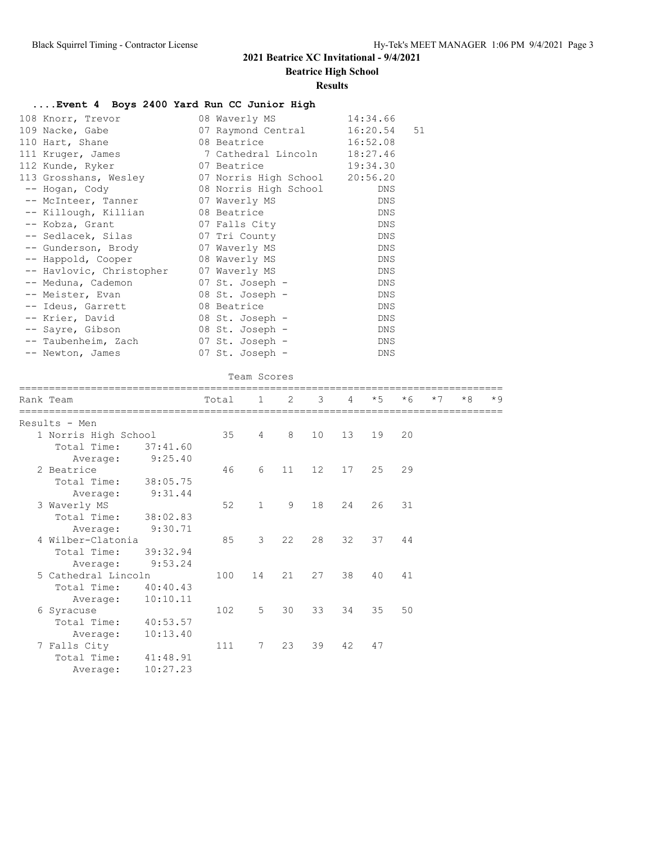**Beatrice High School**

#### **Results**

### **....Event 4 Boys 2400 Yard Run CC Junior High**

| 108 Knorr, Trevor                       | 08 Waverly MS                   | 14:34.66 |    |
|-----------------------------------------|---------------------------------|----------|----|
| 109 Nacke, Gabe                         | 07 Raymond Central              | 16:20.54 | 51 |
| 110 Hart, Shane                         | 08 Beatrice and the Basic State | 16:52.08 |    |
| 111 Kruger, James 6 7 Cathedral Lincoln |                                 | 18:27.46 |    |
| 112 Kunde, Ryker                        | 07 Beatrice                     | 19:34.30 |    |
| 113 Grosshans, Wesley                   | 07 Norris High School 20:56.20  |          |    |
| -- Hogan, Cody                          | 08 Norris High School           | DNS      |    |
| -- McInteer, Tanner                     | 07 Waverly MS                   | DNS      |    |
| -- Killough, Killian                    | 08 Beatrice                     | DNS      |    |
| -- Kobza, Grant                         | 07 Falls City                   | DNS      |    |
| -- Sedlacek, Silas 67 Tri County        |                                 | DNS      |    |
| -- Gunderson, Brody                     | 07 Waverly MS                   | DNS      |    |
| -- Happold, Cooper 68 Waverly MS        |                                 | DNS      |    |
| -- Havlovic, Christopher 07 Waverly MS  |                                 | DNS      |    |
| -- Meduna, Cademon                      | 07 St. Joseph -                 | DNS      |    |
| -- Meister, Evan                        | 08 St. Joseph -                 | DNS      |    |
| -- Ideus, Garrett                       | 08 Beatrice                     | DNS      |    |
| -- Krier, David                         | 08 St. Joseph -                 | DNS      |    |
| -- Sayre, Gibson                        | 08 St. Joseph -                 | DNS      |    |
| -- Taubenheim, Zach                     | 07 St. Joseph -                 | DNS      |    |
| -- Newton, James                        | 07 St. Joseph -                 | DNS      |    |

| ___ | Team Scores |
|-----|-------------|
|-----|-------------|

| Rank Team            |          | Total | 1            | 2  | 3               | 4               | $*5$ | $*6$ | $*7$ | $*8$ | $*9$ |
|----------------------|----------|-------|--------------|----|-----------------|-----------------|------|------|------|------|------|
| Results - Men        |          |       |              |    |                 |                 |      |      |      |      |      |
| 1 Norris High School |          | 35    | 4            | 8  | 10              | 13 <sup>7</sup> | 19   | 20   |      |      |      |
| Total Time:          | 37:41.60 |       |              |    |                 |                 |      |      |      |      |      |
| Average:             | 9:25.40  |       |              |    |                 |                 |      |      |      |      |      |
| 2 Beatrice           |          | 46    | 6            | 11 | 12 <sup>°</sup> | 17              | 25   | 29   |      |      |      |
| Total Time:          | 38:05.75 |       |              |    |                 |                 |      |      |      |      |      |
| Average:             | 9:31.44  |       |              |    |                 |                 |      |      |      |      |      |
| 3 Waverly MS         |          | 52    | $\mathbf{1}$ | 9  | 18              | 24              | 26   | 31   |      |      |      |
| Total Time:          | 38:02.83 |       |              |    |                 |                 |      |      |      |      |      |
| Average:             | 9:30.71  |       |              |    |                 |                 |      |      |      |      |      |
| 4 Wilber-Clatonia    |          | 85    | 3            | 22 | 28              | 32              | 37   | 44   |      |      |      |
| Total Time:          | 39:32.94 |       |              |    |                 |                 |      |      |      |      |      |
| Average:             | 9:53.24  |       |              |    |                 |                 |      |      |      |      |      |
| 5 Cathedral Lincoln  |          | 100   | 14           | 21 | 27              | 38              | 40   | 41   |      |      |      |
| Total Time:          | 40:40.43 |       |              |    |                 |                 |      |      |      |      |      |
| Average:             | 10:10.11 |       |              |    |                 |                 |      |      |      |      |      |
| 6 Syracuse           |          | 102   | 5            | 30 | 33              | 34              | 35   | 50   |      |      |      |
| Total Time:          | 40:53.57 |       |              |    |                 |                 |      |      |      |      |      |
| Average:             | 10:13.40 |       |              |    |                 |                 |      |      |      |      |      |
| 7 Falls City         |          | 111   | 7            | 23 | 39              | 42              | 47   |      |      |      |      |
| Total Time:          | 41:48.91 |       |              |    |                 |                 |      |      |      |      |      |
| Average:             | 10:27.23 |       |              |    |                 |                 |      |      |      |      |      |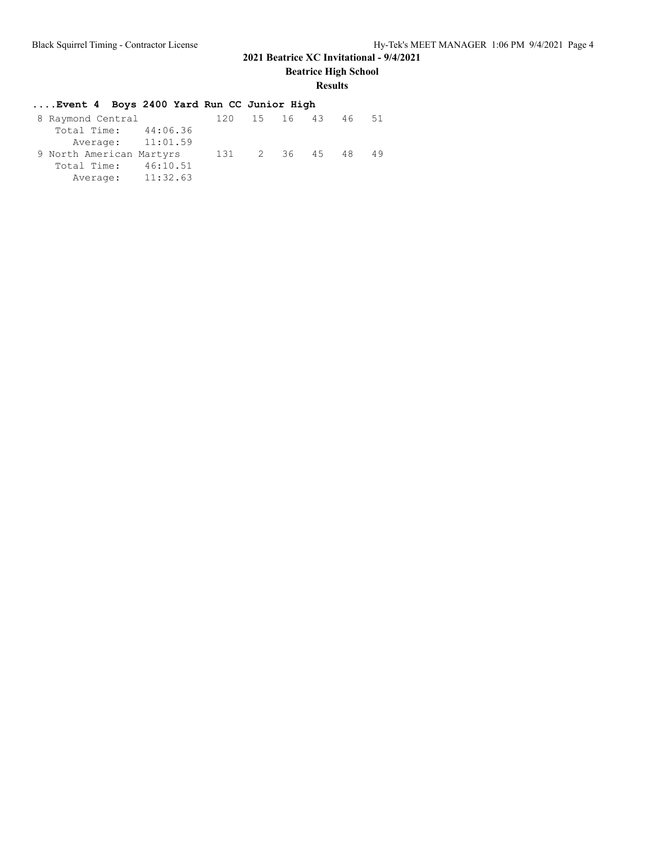**Beatrice High School**

# **Results**

| Event 4 Boys 2400 Yard Run CC Junior High |     |                 |  |     |
|-------------------------------------------|-----|-----------------|--|-----|
| 8 Raymond Central                         |     | 120 15 16 43 46 |  | .51 |
| Total Time: 44:06.36                      |     |                 |  |     |
| Average: 11:01.59                         |     |                 |  |     |
| 9 North American Martyrs                  | 131 | 2 36 45 48      |  | 49  |
| Total Time: 46:10.51                      |     |                 |  |     |
| Average: 11:32.63                         |     |                 |  |     |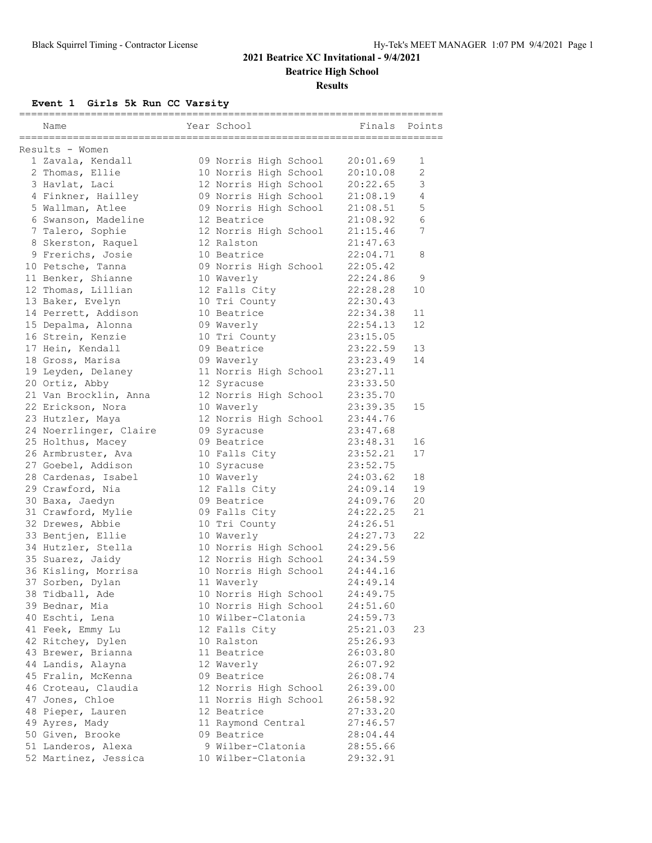## **2021 Beatrice XC Invitational - 9/4/2021 Beatrice High School**

#### **Results**

**Event 1 Girls 5k Run CC Varsity**

| Name                                     | Year School           | ------================<br>Finals | Points   |
|------------------------------------------|-----------------------|----------------------------------|----------|
| =====================<br>Results - Women |                       |                                  |          |
| 1 Zavala, Kendall                        | 09 Norris High School | 20:01.69                         | 1        |
| 2 Thomas, Ellie                          | 10 Norris High School | 20:10.08                         | 2        |
| 3 Havlat, Laci                           | 12 Norris High School | 20:22.65                         | 3        |
| 4 Finkner, Hailley                       | 09 Norris High School | 21:08.19                         | 4        |
| 5 Wallman, Atlee                         | 09 Norris High School | 21:08.51                         | 5        |
| 6 Swanson, Madeline                      | 12 Beatrice           | 21:08.92                         | 6        |
| 7 Talero, Sophie                         | 12 Norris High School | 21:15.46                         | 7        |
| 8 Skerston, Raquel                       | 12 Ralston            | 21:47.63                         |          |
| 9 Frerichs, Josie                        | 10 Beatrice           | 22:04.71                         | 8        |
| 10 Petsche, Tanna                        | 09 Norris High School | 22:05.42                         |          |
| 11 Benker, Shianne                       | 10 Waverly            | 22:24.86                         | 9        |
| 12 Thomas, Lillian                       | 12 Falls City         | 22:28.28                         | 10       |
| 13 Baker, Evelyn                         | 10 Tri County         | 22:30.43                         |          |
| 14 Perrett, Addison                      | 10 Beatrice           | 22:34.38                         | 11       |
| 15 Depalma, Alonna                       | 09 Waverly            | 22:54.13                         | 12       |
| 16 Strein, Kenzie                        | 10 Tri County         | 23:15.05                         |          |
| 17 Hein, Kendall                         | 09 Beatrice           | 23:22.59                         | 13       |
| 18 Gross, Marisa                         | 09 Waverly            | 23:23.49                         | 14       |
| 19 Leyden, Delaney                       | 11 Norris High School | 23:27.11                         |          |
| 20 Ortiz, Abby                           | 12 Syracuse           | 23:33.50                         |          |
| 21 Van Brocklin, Anna                    | 12 Norris High School | 23:35.70                         |          |
| 22 Erickson, Nora                        | 10 Waverly            | 23:39.35                         | 15       |
| 23 Hutzler, Maya                         | 12 Norris High School | 23:44.76                         |          |
|                                          | 09 Syracuse           | 23:47.68                         |          |
| 24 Noerrlinger, Claire                   | 09 Beatrice           |                                  |          |
| 25 Holthus, Macey                        |                       | 23:48.31                         | 16<br>17 |
| 26 Armbruster, Ava                       | 10 Falls City         | 23:52.21<br>23:52.75             |          |
| 27 Goebel, Addison                       | 10 Syracuse           |                                  |          |
| 28 Cardenas, Isabel                      | 10 Waverly            | 24:03.62                         | 18<br>19 |
| 29 Crawford, Nia                         | 12 Falls City         | 24:09.14                         | 20       |
| 30 Baxa, Jaedyn                          | 09 Beatrice           | 24:09.76                         | 21       |
| 31 Crawford, Mylie                       | 09 Falls City         | 24:22.25                         |          |
| 32 Drewes, Abbie                         | 10 Tri County         | 24:26.51                         |          |
| 33 Bentjen, Ellie                        | 10 Waverly            | 24:27.73                         | 22       |
| 34 Hutzler, Stella                       | 10 Norris High School | 24:29.56                         |          |
| 35 Suarez, Jaidy                         | 12 Norris High School | 24:34.59                         |          |
| 36 Kisling, Morrisa                      | 10 Norris High School | 24:44.16                         |          |
| 37 Sorben, Dylan                         | 11 Waverly            | 24:49.14                         |          |
| 38 Tidball, Ade                          | 10 Norris High School | 24:49.75                         |          |
| 39 Bednar, Mia                           | 10 Norris High School | 24:51.60                         |          |
| 40 Eschti, Lena                          | 10 Wilber-Clatonia    | 24:59.73                         |          |
| 41 Feek, Emmy Lu                         | 12 Falls City         | 25:21.03                         | 23       |
| 42 Ritchey, Dylen                        | 10 Ralston            | 25:26.93                         |          |
| 43 Brewer, Brianna                       | 11 Beatrice           | 26:03.80                         |          |
| 44 Landis, Alayna                        | 12 Waverly            | 26:07.92                         |          |
| 45 Fralin, McKenna                       | 09 Beatrice           | 26:08.74                         |          |
| 46 Croteau, Claudia                      | 12 Norris High School | 26:39.00                         |          |
| 47 Jones, Chloe                          | 11 Norris High School | 26:58.92                         |          |
| 48 Pieper, Lauren                        | 12 Beatrice           | 27:33.20                         |          |
| 49 Ayres, Mady                           | 11 Raymond Central    | 27:46.57                         |          |
| 50 Given, Brooke                         | 09 Beatrice           | 28:04.44                         |          |
| 51 Landeros, Alexa                       | 9 Wilber-Clatonia     | 28:55.66                         |          |
| 52 Martinez, Jessica                     | 10 Wilber-Clatonia    | 29:32.91                         |          |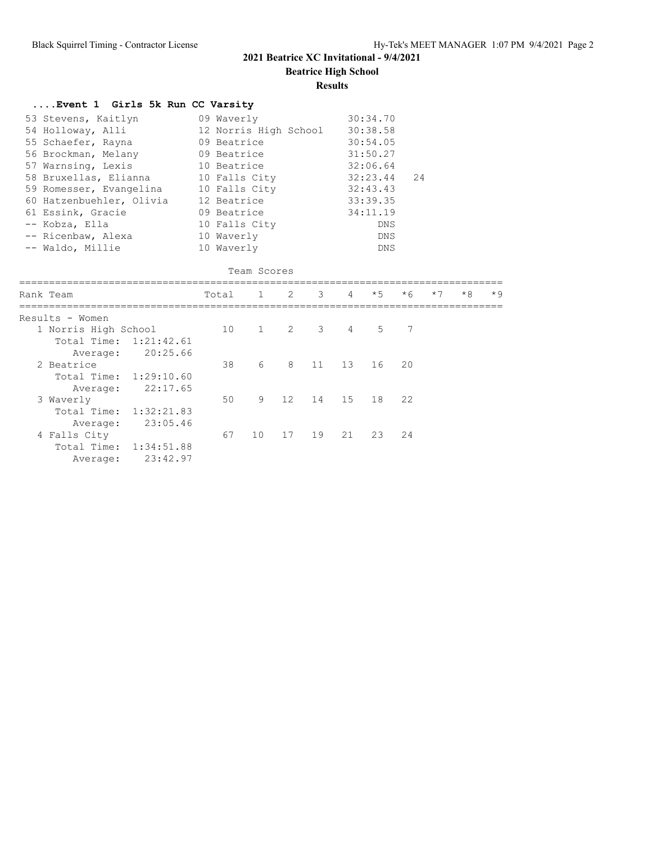**Beatrice High School**

#### **Results**

| Event 1 Girls 5k Run CC Varsity                                                                                                                                                                                                                                                                                                     |                                                                                                                                        |             |             |                |                 |                                                                                                                          |      |      |      |      |
|-------------------------------------------------------------------------------------------------------------------------------------------------------------------------------------------------------------------------------------------------------------------------------------------------------------------------------------|----------------------------------------------------------------------------------------------------------------------------------------|-------------|-------------|----------------|-----------------|--------------------------------------------------------------------------------------------------------------------------|------|------|------|------|
| 53 Stevens, Kaitlyn<br>54 Holloway, Alli<br>55 Schaefer, Rayna<br>56 Brockman, Melany<br>57 Warnsing, Lexis<br>58 Bruxellas, Elianna 10 Falls City<br>59 Romesser, Evangelina 10 Falls City<br>60 Hatzenbuehler, Olivia 12 Beatrice<br>61 Essink, Gracie<br>09 Beatrice<br>-- Kobza, Ella<br>-- Ricenbaw, Alexa<br>-- Waldo, Millie | 09 Waverly<br>12 Norris High School 30:38.58<br>09 Beatrice<br>09 Beatrice<br>10 Beatrice<br>10 Falls City<br>10 Waverly<br>10 Waverly |             |             |                |                 | 30:34.70<br>30:54.05<br>31:50.27<br>32:06.64<br>32:23.44<br>32:43.43<br>33:39.35<br>34:11.19<br>DNS<br>DNS<br><b>DNS</b> | 24   |      |      |      |
|                                                                                                                                                                                                                                                                                                                                     |                                                                                                                                        | Team Scores |             |                |                 |                                                                                                                          |      |      |      |      |
| Rank Team                                                                                                                                                                                                                                                                                                                           | Total                                                                                                                                  |             | $1 \quad 2$ | $\overline{3}$ | $\overline{4}$  | $*5$                                                                                                                     | $*6$ | $*7$ | $*8$ | $*9$ |
| Results - Women<br>1 Norris High School<br>Total Time: 1:21:42.61<br>20:25.66<br>Average:                                                                                                                                                                                                                                           |                                                                                                                                        | 10 1        |             | $2 \quad 3$    | $\overline{4}$  | .5                                                                                                                       | 7    |      |      |      |
| 2 Beatrice<br>Total Time: 1:29:10.60                                                                                                                                                                                                                                                                                                | 38                                                                                                                                     | 6           | 8           | 11             | 13 <sup>7</sup> | 16                                                                                                                       | 20   |      |      |      |
| 22:17.65<br>Average:<br>3 Waverly<br>Total Time: 1:32:21.83                                                                                                                                                                                                                                                                         | 50                                                                                                                                     | 9           | 12          | 14             | 15              | 18                                                                                                                       | 22   |      |      |      |
| 23:05.46<br>Average:<br>4 Falls City<br>Total Time: 1:34:51.88                                                                                                                                                                                                                                                                      | 67                                                                                                                                     | 10          | 17          | 19             | 21              | 23                                                                                                                       | 24   |      |      |      |

Average: 23:42.97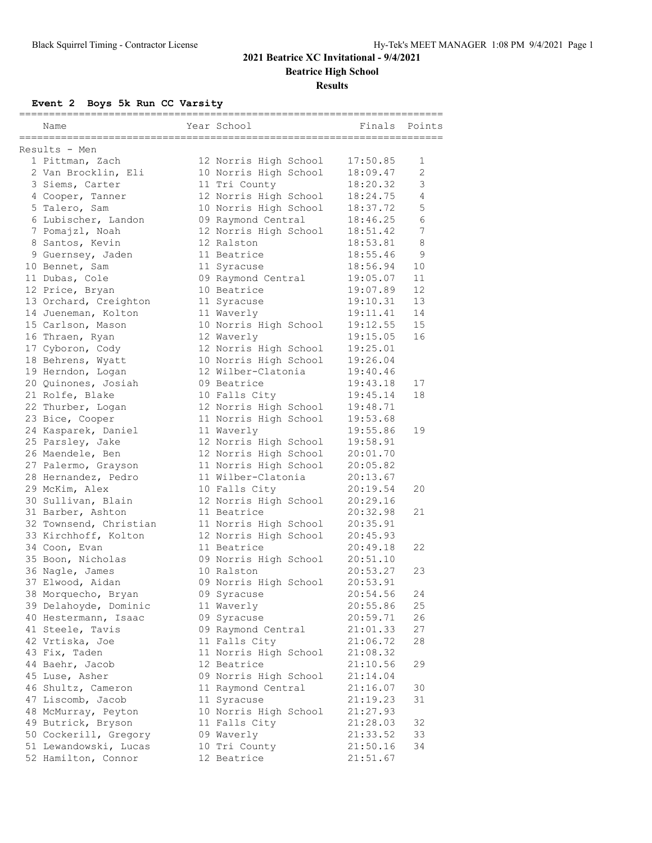## **2021 Beatrice XC Invitational - 9/4/2021 Beatrice High School**

**Results**

**Event 2 Boys 5k Run CC Varsity**

|               | Name                   |  | Year School           | Finals   | Points |  |  |  |  |
|---------------|------------------------|--|-----------------------|----------|--------|--|--|--|--|
| Results - Men |                        |  |                       |          |        |  |  |  |  |
|               | 1 Pittman, Zach        |  | 12 Norris High School | 17:50.85 | 1      |  |  |  |  |
|               | 2 Van Brocklin, Eli    |  | 10 Norris High School | 18:09.47 | 2      |  |  |  |  |
|               | 3 Siems, Carter        |  | 11 Tri County         | 18:20.32 | 3      |  |  |  |  |
|               | 4 Cooper, Tanner       |  | 12 Norris High School | 18:24.75 | 4      |  |  |  |  |
|               | 5 Talero, Sam          |  | 10 Norris High School | 18:37.72 | 5      |  |  |  |  |
|               | 6 Lubischer, Landon    |  | 09 Raymond Central    | 18:46.25 | 6      |  |  |  |  |
|               | 7 Pomajzl, Noah        |  | 12 Norris High School | 18:51.42 | 7      |  |  |  |  |
|               | 8 Santos, Kevin        |  | 12 Ralston            | 18:53.81 | 8      |  |  |  |  |
|               | 9 Guernsey, Jaden      |  | 11 Beatrice           | 18:55.46 | 9      |  |  |  |  |
|               | 10 Bennet, Sam         |  | 11 Syracuse           | 18:56.94 | 10     |  |  |  |  |
|               | 11 Dubas, Cole         |  | 09 Raymond Central    | 19:05.07 | 11     |  |  |  |  |
|               | 12 Price, Bryan        |  | 10 Beatrice           | 19:07.89 | 12     |  |  |  |  |
|               | 13 Orchard, Creighton  |  | 11 Syracuse           | 19:10.31 | 13     |  |  |  |  |
|               | 14 Jueneman, Kolton    |  | 11 Waverly            | 19:11.41 | 14     |  |  |  |  |
|               | 15 Carlson, Mason      |  | 10 Norris High School | 19:12.55 | 15     |  |  |  |  |
|               | 16 Thraen, Ryan        |  | 12 Waverly            | 19:15.05 | 16     |  |  |  |  |
|               | 17 Cyboron, Cody       |  | 12 Norris High School | 19:25.01 |        |  |  |  |  |
|               | 18 Behrens, Wyatt      |  | 10 Norris High School | 19:26.04 |        |  |  |  |  |
|               | 19 Herndon, Logan      |  | 12 Wilber-Clatonia    | 19:40.46 |        |  |  |  |  |
|               | 20 Quinones, Josiah    |  | 09 Beatrice           | 19:43.18 | 17     |  |  |  |  |
|               | 21 Rolfe, Blake        |  | 10 Falls City         | 19:45.14 | 18     |  |  |  |  |
|               | 22 Thurber, Logan      |  | 12 Norris High School | 19:48.71 |        |  |  |  |  |
|               | 23 Bice, Cooper        |  | 11 Norris High School | 19:53.68 |        |  |  |  |  |
|               | 24 Kasparek, Daniel    |  | 11 Waverly            | 19:55.86 | 19     |  |  |  |  |
|               | 25 Parsley, Jake       |  | 12 Norris High School | 19:58.91 |        |  |  |  |  |
|               | 26 Maendele, Ben       |  | 12 Norris High School | 20:01.70 |        |  |  |  |  |
|               | 27 Palermo, Grayson    |  | 11 Norris High School | 20:05.82 |        |  |  |  |  |
|               | 28 Hernandez, Pedro    |  | 11 Wilber-Clatonia    | 20:13.67 |        |  |  |  |  |
|               | 29 McKim, Alex         |  | 10 Falls City         | 20:19.54 | 20     |  |  |  |  |
|               | 30 Sullivan, Blain     |  | 12 Norris High School | 20:29.16 |        |  |  |  |  |
|               | 31 Barber, Ashton      |  | 11 Beatrice           | 20:32.98 | 21     |  |  |  |  |
|               | 32 Townsend, Christian |  | 11 Norris High School | 20:35.91 |        |  |  |  |  |
|               | 33 Kirchhoff, Kolton   |  | 12 Norris High School | 20:45.93 |        |  |  |  |  |
|               | 34 Coon, Evan          |  | 11 Beatrice           | 20:49.18 | 22     |  |  |  |  |
|               | 35 Boon, Nicholas      |  | 09 Norris High School | 20:51.10 |        |  |  |  |  |
|               | 36 Nagle, James        |  | 10 Ralston            | 20:53.27 | 23     |  |  |  |  |
|               | 37 Elwood, Aidan       |  | 09 Norris High School | 20:53.91 |        |  |  |  |  |
|               | 38 Morquecho, Bryan    |  | 09 Syracuse           | 20:54.56 | 24     |  |  |  |  |
|               | 39 Delahoyde, Dominic  |  | 11 Waverly            | 20:55.86 | 25     |  |  |  |  |
|               | 40 Hestermann, Isaac   |  | 09 Syracuse           | 20:59.71 | 26     |  |  |  |  |
|               | 41 Steele, Tavis       |  | 09 Raymond Central    | 21:01.33 | 27     |  |  |  |  |
|               | 42 Vrtiska, Joe        |  | 11 Falls City         | 21:06.72 | 28     |  |  |  |  |
|               | 43 Fix, Taden          |  | 11 Norris High School | 21:08.32 |        |  |  |  |  |
|               | 44 Baehr, Jacob        |  | 12 Beatrice           | 21:10.56 | 29     |  |  |  |  |
|               | 45 Luse, Asher         |  | 09 Norris High School | 21:14.04 |        |  |  |  |  |
|               | 46 Shultz, Cameron     |  | 11 Raymond Central    | 21:16.07 | 30     |  |  |  |  |
|               | 47 Liscomb, Jacob      |  | 11 Syracuse           | 21:19.23 | 31     |  |  |  |  |
|               | 48 McMurray, Peyton    |  | 10 Norris High School | 21:27.93 |        |  |  |  |  |
|               | 49 Butrick, Bryson     |  | 11 Falls City         | 21:28.03 | 32     |  |  |  |  |
|               | 50 Cockerill, Gregory  |  | 09 Waverly            | 21:33.52 | 33     |  |  |  |  |
|               | 51 Lewandowski, Lucas  |  | 10 Tri County         | 21:50.16 | 34     |  |  |  |  |
|               | 52 Hamilton, Connor    |  | 12 Beatrice           | 21:51.67 |        |  |  |  |  |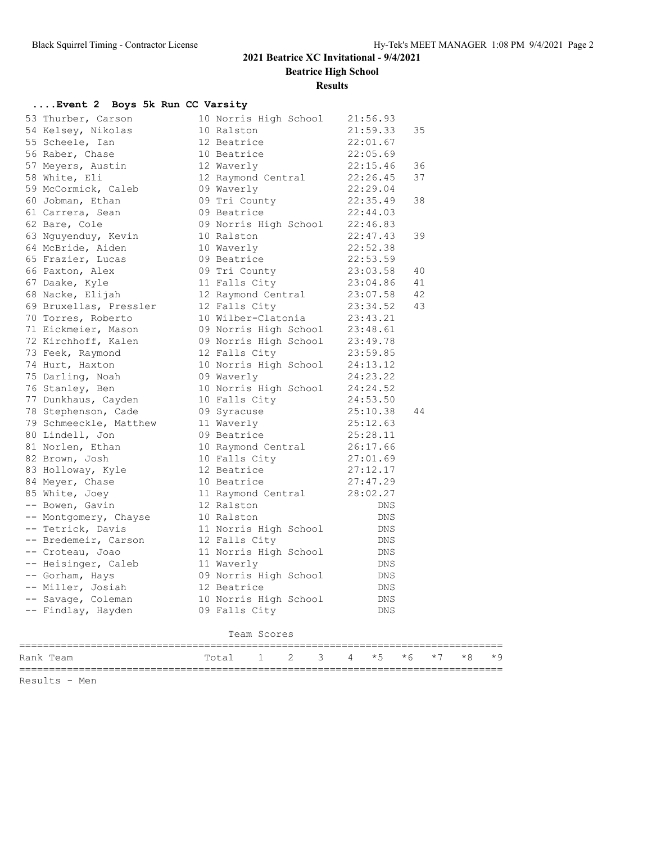**Beatrice High School**

**Results**

### **....Event 2 Boys 5k Run CC Varsity**

| Rank Team                                     |  | Total                               | 1           | 2 | 3 | 4        | $*5$                 | $*6$ | $*7$ | $*8$ | $*9$ |
|-----------------------------------------------|--|-------------------------------------|-------------|---|---|----------|----------------------|------|------|------|------|
|                                               |  |                                     | Team Scores |   |   |          |                      |      |      |      |      |
|                                               |  |                                     |             |   |   |          |                      |      |      |      |      |
| -- Findlay, Hayden                            |  | 09 Falls City                       |             |   |   |          | DNS                  |      |      |      |      |
| -- Savage, Coleman                            |  | 10 Norris High School               |             |   |   |          | DNS                  |      |      |      |      |
| -- Miller, Josiah                             |  | 12 Beatrice                         |             |   |   |          | DNS                  |      |      |      |      |
| -- Gorham, Hays                               |  | 09 Norris High School               |             |   |   |          | DNS                  |      |      |      |      |
| -- Croteau, Joao<br>-- Heisinger, Caleb       |  | 11 Norris High School<br>11 Waverly |             |   |   |          | DNS<br>DNS           |      |      |      |      |
| -- Bredemeir, Carson                          |  | 12 Falls City                       |             |   |   |          | DNS                  |      |      |      |      |
| -- Tetrick, Davis                             |  | 11 Norris High School               |             |   |   |          | DNS                  |      |      |      |      |
| -- Montgomery, Chayse                         |  | 10 Ralston                          |             |   |   |          | DNS                  |      |      |      |      |
| -- Bowen, Gavin                               |  |                                     |             |   |   |          | DNS                  |      |      |      |      |
| 85 White, Joey                                |  | 11 Raymond Central<br>12 Ralston    |             |   |   | 28:02.27 |                      |      |      |      |      |
|                                               |  |                                     |             |   |   |          |                      |      |      |      |      |
| 84 Meyer, Chase                               |  | 10 Beatrice                         |             |   |   | 27:47.29 |                      |      |      |      |      |
| 83 Holloway, Kyle                             |  | 12 Beatrice                         |             |   |   | 27:12.17 |                      |      |      |      |      |
| 82 Brown, Josh                                |  | 10 Falls City                       |             |   |   |          | 27:01.69             |      |      |      |      |
| 81 Norlen, Ethan                              |  | 10 Raymond Central                  |             |   |   | 26:17.66 |                      |      |      |      |      |
| 80 Lindell, Jon                               |  | 09 Beatrice                         |             |   |   | 25:28.11 |                      |      |      |      |      |
| 78 Stephenson, Cade<br>79 Schmeeckle, Matthew |  | 09 Syracuse<br>11 Waverly           |             |   |   |          | 25:12.63             |      |      |      |      |
| 77 Dunkhaus, Cayden                           |  |                                     |             |   |   |          | 25:10.38             | 44   |      |      |      |
|                                               |  | 10 Falls City                       |             |   |   |          | 24:53.50             |      |      |      |      |
| 76 Stanley, Ben                               |  | 10 Norris High School               |             |   |   |          | 24:24.52             |      |      |      |      |
| 75 Darling, Noah                              |  | 09 Waverly                          |             |   |   |          | 24:23.22             |      |      |      |      |
| 74 Hurt, Haxton                               |  | 10 Norris High School               |             |   |   |          | 24:13.12             |      |      |      |      |
| 73 Feek, Raymond                              |  | 12 Falls City                       |             |   |   |          | 23:59.85             |      |      |      |      |
| 72 Kirchhoff, Kalen                           |  | 09 Norris High School               |             |   |   |          | 23:49.78             |      |      |      |      |
| 71 Eickmeier, Mason                           |  | 09 Norris High School               |             |   |   |          | 23:48.61             |      |      |      |      |
| 70 Torres, Roberto                            |  | 10 Wilber-Clatonia                  |             |   |   |          | 23:43.21             |      |      |      |      |
| 69 Bruxellas, Pressler                        |  | 12 Falls City                       |             |   |   |          | 23:34.52             | 43   |      |      |      |
| 68 Nacke, Elijah                              |  | 12 Raymond Central                  |             |   |   |          | 23:07.58             | 42   |      |      |      |
| 67 Daake, Kyle                                |  | 11 Falls City                       |             |   |   |          | 23:04.86             | 41   |      |      |      |
| 66 Paxton, Alex                               |  | 09 Tri County                       |             |   |   |          | 23:03.58             | 40   |      |      |      |
| 65 Frazier, Lucas                             |  | 10 Waverly<br>09 Beatrice           |             |   |   |          | 22:53.59             |      |      |      |      |
| 63 Nguyenduy, Kevin<br>64 McBride, Aiden      |  | 10 Ralston                          |             |   |   |          | 22:47.43<br>22:52.38 | 39   |      |      |      |
| 62 Bare, Cole                                 |  | 09 Norris High School               |             |   |   |          | 22:46.83             |      |      |      |      |
| 61 Carrera, Sean                              |  | 09 Beatrice                         |             |   |   |          | 22:44.03             |      |      |      |      |
| 60 Jobman, Ethan                              |  | 09 Tri County                       |             |   |   |          | 22:35.49             | 38   |      |      |      |
| 59 McCormick, Caleb                           |  | 09 Waverly                          |             |   |   |          | 22:29.04             |      |      |      |      |
| 58 White, Eli                                 |  | 12 Raymond Central                  |             |   |   |          | 22:26.45             | 37   |      |      |      |
| 57 Meyers, Austin                             |  | 12 Waverly                          |             |   |   | 22:15.46 |                      | 36   |      |      |      |
| 56 Raber, Chase                               |  | 10 Beatrice                         |             |   |   |          | 22:05.69             |      |      |      |      |
| 55 Scheele, Ian                               |  | 12 Beatrice                         |             |   |   |          | 22:01.67             |      |      |      |      |
| 54 Kelsey, Nikolas                            |  | 10 Ralston                          |             |   |   |          | 21:59.33             | 35   |      |      |      |
| 53 Thurber, Carson                            |  | 10 Norris High School               |             |   |   |          | 21:56.93             |      |      |      |      |
|                                               |  |                                     |             |   |   |          |                      |      |      |      |      |

=================================================================================

Results - Men